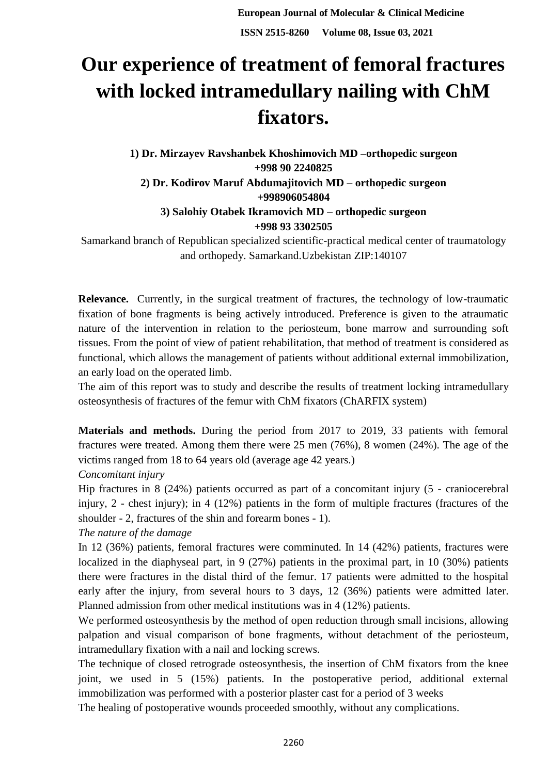## **Our experience of treatment of femoral fractures with locked intramedullary nailing with ChM fixators.**

**1) Dr. Mirzayev Ravshanbek Khoshimovich MD –orthopedic surgeon +998 90 2240825 2) Dr. Kodirov Maruf Abdumajitovich MD – orthopedic surgeon +998906054804 3) Salohiy Otabek Ikramovich MD – orthopedic surgeon +998 93 3302505**

Samarkand branch of Republican specialized scientific-practical medical center of traumatology and orthopedy. Samarkand.Uzbekistan ZIP:140107

**Relevance.** Currently, in the surgical treatment of fractures, the technology of low-traumatic fixation of bone fragments is being actively introduced. Preference is given to the atraumatic nature of the intervention in relation to the periosteum, bone marrow and surrounding soft tissues. From the point of view of patient rehabilitation, that method of treatment is considered as functional, which allows the management of patients without additional external immobilization, an early load on the operated limb.

The aim of this report was to study and describe the results of treatment locking intramedullary osteosynthesis of fractures of the femur with ChM fixators (ChARFIX system)

**Materials and methods.** During the period from 2017 to 2019, 33 patients with femoral fractures were treated. Among them there were 25 men (76%), 8 women (24%). The age of the victims ranged from 18 to 64 years old (average age 42 years.)

## *Concomitant injury*

Hip fractures in 8 (24%) patients occurred as part of a concomitant injury (5 - craniocerebral injury, 2 - chest injury); in 4 (12%) patients in the form of multiple fractures (fractures of the shoulder - 2, fractures of the shin and forearm bones - 1).

*The nature of the damage*

In 12 (36%) patients, femoral fractures were comminuted. In 14 (42%) patients, fractures were localized in the diaphyseal part, in 9 (27%) patients in the proximal part, in 10 (30%) patients there were fractures in the distal third of the femur. 17 patients were admitted to the hospital early after the injury, from several hours to 3 days, 12 (36%) patients were admitted later. Planned admission from other medical institutions was in 4 (12%) patients.

We performed osteosynthesis by the method of open reduction through small incisions, allowing palpation and visual comparison of bone fragments, without detachment of the periosteum, intramedullary fixation with a nail and locking screws.

The technique of closed retrograde osteosynthesis, the insertion of ChM fixators from the knee joint, we used in 5 (15%) patients. In the postoperative period, additional external immobilization was performed with a posterior plaster cast for a period of 3 weeks

The healing of postoperative wounds proceeded smoothly, without any complications.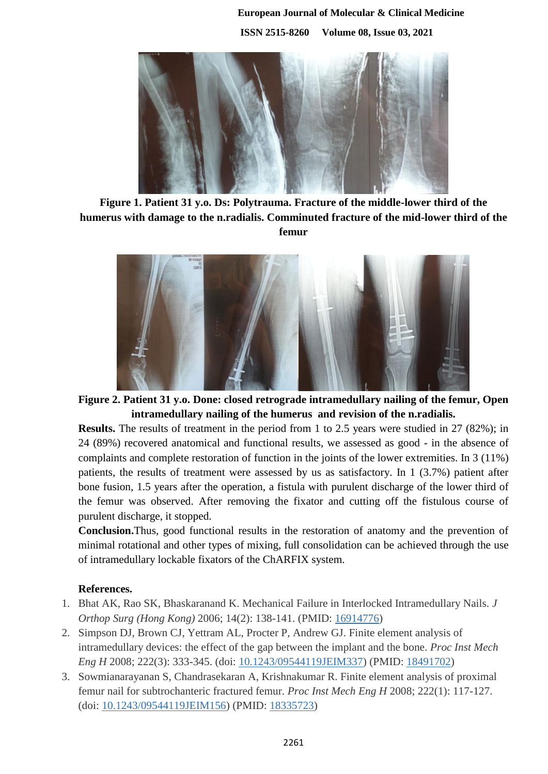**European Journal of Molecular & Clinical Medicine ISSN 2515-8260 Volume 08, Issue 03, 2021**



**Figure 1. Patient 31 y.o. Ds: Polytrauma. Fracture of the middle-lower third of the humerus with damage to the n.radialis. Comminuted fracture of the mid-lower third of the femur**



**Figure 2. Patient 31 y.o. Done: closed retrograde intramedullary nailing of the femur, Open intramedullary nailing of the humerus and revision of the n.radialis.**

**Results.** The results of treatment in the period from 1 to 2.5 years were studied in 27 (82%); in 24 (89%) recovered anatomical and functional results, we assessed as good - in the absence of complaints and complete restoration of function in the joints of the lower extremities. In 3 (11%) patients, the results of treatment were assessed by us as satisfactory. In 1 (3.7%) patient after bone fusion, 1.5 years after the operation, a fistula with purulent discharge of the lower third of the femur was observed. After removing the fixator and cutting off the fistulous course of purulent discharge, it stopped.

**Conclusion.**Thus, good functional results in the restoration of anatomy and the prevention of minimal rotational and other types of mixing, full consolidation can be achieved through the use of intramedullary lockable fixators of the ChARFIX system.

## **References.**

- 1. Bhat AK, Rao SK, Bhaskaranand K. Mechanical Failure in Interlocked Intramedullary Nails. *J Orthop Surg (Hong Kong)* 2006; 14(2): 138-141. (PMID: [16914776\)](http://www.ncbi.nlm.nih.gov/pubmed/16914776)
- 2. Simpson DJ, Brown CJ, Yettram AL, Procter P, Andrew GJ. Finite element analysis of intramedullary devices: the effect of the gap between the implant and the bone. *Proc Inst Mech Eng H* 2008; 222(3): 333-345. (doi: [10.1243/09544119JEIM337\)](http://dx.doi.org/10.1243/09544119JEIM337) (PMID: [18491702\)](http://www.ncbi.nlm.nih.gov/pubmed/18491702)
- 3. Sowmianarayanan S, Chandrasekaran A, Krishnakumar R. Finite element analysis of proximal femur nail for subtrochanteric fractured femur. *Proc Inst Mech Eng H* 2008; 222(1): 117-127. (doi: [10.1243/09544119JEIM156\)](http://dx.doi.org/10.1243/09544119JEIM156) (PMID: [18335723\)](http://www.ncbi.nlm.nih.gov/pubmed/18335723)